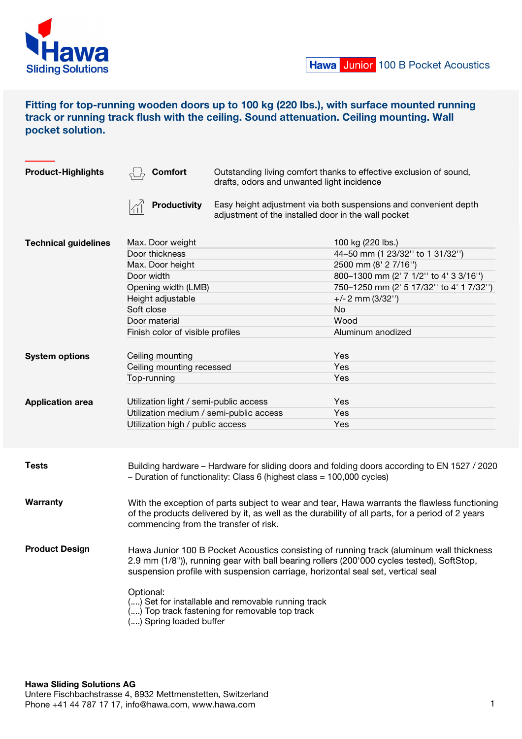

# Fitting for top-running wooden doors up to 100 kg (220 lbs.), with surface mounted running track or running track flush with the ceiling. Sound attenuation. Ceiling mounting. Wall pocket solution.

| <b>Product-Highlights</b>   | Comfort                                                                                                                                                                                                                                                                 | Outstanding living comfort thanks to effective exclusion of sound,<br>drafts, odors and unwanted light incidence        |                                         |
|-----------------------------|-------------------------------------------------------------------------------------------------------------------------------------------------------------------------------------------------------------------------------------------------------------------------|-------------------------------------------------------------------------------------------------------------------------|-----------------------------------------|
|                             | <b>Productivity</b>                                                                                                                                                                                                                                                     | Easy height adjustment via both suspensions and convenient depth<br>adjustment of the installed door in the wall pocket |                                         |
| <b>Technical guidelines</b> | Max. Door weight                                                                                                                                                                                                                                                        |                                                                                                                         | 100 kg (220 lbs.)                       |
|                             | Door thickness                                                                                                                                                                                                                                                          |                                                                                                                         | 44-50 mm (1 23/32" to 1 31/32")         |
|                             | Max. Door height                                                                                                                                                                                                                                                        |                                                                                                                         | 2500 mm (8' 2 7/16")                    |
|                             | Door width                                                                                                                                                                                                                                                              |                                                                                                                         | 800-1300 mm (2' 7 1/2" to 4' 3 3/16")   |
|                             | Opening width (LMB)                                                                                                                                                                                                                                                     |                                                                                                                         | 750-1250 mm (2' 5 17/32" to 4' 1 7/32") |
|                             | Height adjustable                                                                                                                                                                                                                                                       |                                                                                                                         | $+/- 2$ mm (3/32")                      |
|                             | Soft close                                                                                                                                                                                                                                                              |                                                                                                                         | No                                      |
|                             | Door material                                                                                                                                                                                                                                                           |                                                                                                                         | Wood                                    |
|                             | Finish color of visible profiles                                                                                                                                                                                                                                        |                                                                                                                         | Aluminum anodized                       |
| <b>System options</b>       | Ceiling mounting                                                                                                                                                                                                                                                        |                                                                                                                         | Yes                                     |
|                             | Ceiling mounting recessed                                                                                                                                                                                                                                               |                                                                                                                         | Yes                                     |
|                             | Top-running                                                                                                                                                                                                                                                             |                                                                                                                         | Yes                                     |
|                             |                                                                                                                                                                                                                                                                         |                                                                                                                         |                                         |
| <b>Application area</b>     | Utilization light / semi-public access                                                                                                                                                                                                                                  |                                                                                                                         | Yes                                     |
|                             | Utilization medium / semi-public access                                                                                                                                                                                                                                 |                                                                                                                         | Yes                                     |
|                             | Utilization high / public access                                                                                                                                                                                                                                        |                                                                                                                         | Yes                                     |
|                             |                                                                                                                                                                                                                                                                         |                                                                                                                         |                                         |
| <b>Tests</b>                | Building hardware - Hardware for sliding doors and folding doors according to EN 1527 / 2020<br>- Duration of functionality: Class 6 (highest class = 100,000 cycles)                                                                                                   |                                                                                                                         |                                         |
| <b>Warranty</b>             | With the exception of parts subject to wear and tear, Hawa warrants the flawless functioning<br>of the products delivered by it, as well as the durability of all parts, for a period of 2 years<br>commencing from the transfer of risk.                               |                                                                                                                         |                                         |
| <b>Product Design</b>       | Hawa Junior 100 B Pocket Acoustics consisting of running track (aluminum wall thickness<br>2.9 mm (1/8")), running gear with ball bearing rollers (200'000 cycles tested), SoftStop,<br>suspension profile with suspension carriage, horizontal seal set, vertical seal |                                                                                                                         |                                         |
|                             | Optional:<br>() Set for installable and removable running track<br>() Top track fastening for removable top track<br>() Spring loaded buffer                                                                                                                            |                                                                                                                         |                                         |